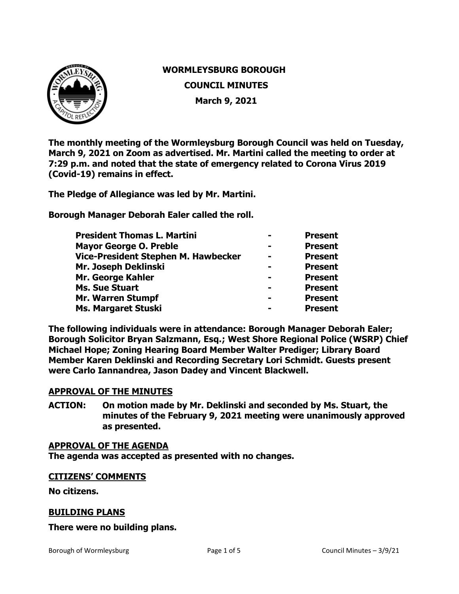

# **WORMLEYSBURG BOROUGH COUNCIL MINUTES March 9, 2021**

**The monthly meeting of the Wormleysburg Borough Council was held on Tuesday, March 9, 2021 on Zoom as advertised. Mr. Martini called the meeting to order at 7:29 p.m. and noted that the state of emergency related to Corona Virus 2019 (Covid-19) remains in effect.**

**The Pledge of Allegiance was led by Mr. Martini.** 

**Borough Manager Deborah Ealer called the roll.** 

| <b>President Thomas L. Martini</b>  | <b>Present</b> |
|-------------------------------------|----------------|
| <b>Mayor George O. Preble</b>       | <b>Present</b> |
| Vice-President Stephen M. Hawbecker | <b>Present</b> |
| Mr. Joseph Deklinski                | <b>Present</b> |
| Mr. George Kahler                   | <b>Present</b> |
| <b>Ms. Sue Stuart</b>               | <b>Present</b> |
| <b>Mr. Warren Stumpf</b>            | <b>Present</b> |
| Ms. Margaret Stuski                 | <b>Present</b> |

**The following individuals were in attendance: Borough Manager Deborah Ealer; Borough Solicitor Bryan Salzmann, Esq.; West Shore Regional Police (WSRP) Chief Michael Hope; Zoning Hearing Board Member Walter Prediger; Library Board Member Karen Deklinski and Recording Secretary Lori Schmidt. Guests present were Carlo Iannandrea, Jason Dadey and Vincent Blackwell.**

### **APPROVAL OF THE MINUTES**

**ACTION: On motion made by Mr. Deklinski and seconded by Ms. Stuart, the minutes of the February 9, 2021 meeting were unanimously approved as presented.** 

#### **APPROVAL OF THE AGENDA**

**The agenda was accepted as presented with no changes.**

### **CITIZENS' COMMENTS**

**No citizens.**

### **BUILDING PLANS**

### **There were no building plans.**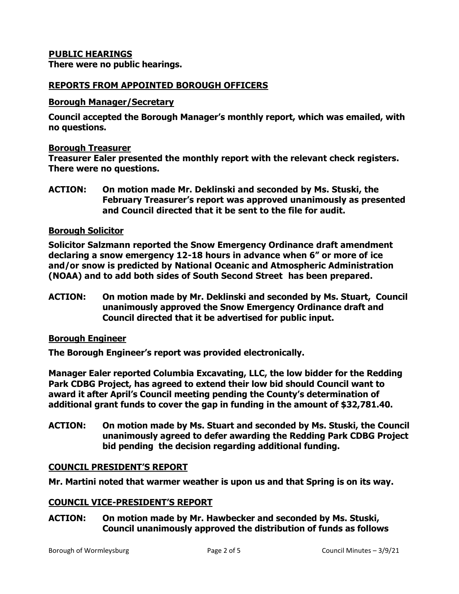# **PUBLIC HEARINGS**

**There were no public hearings.**

### **REPORTS FROM APPOINTED BOROUGH OFFICERS**

#### **Borough Manager/Secretary**

**Council accepted the Borough Manager's monthly report, which was emailed, with no questions.**

#### **Borough Treasurer**

**Treasurer Ealer presented the monthly report with the relevant check registers. There were no questions.** 

**ACTION: On motion made Mr. Deklinski and seconded by Ms. Stuski, the February Treasurer's report was approved unanimously as presented and Council directed that it be sent to the file for audit.** 

### **Borough Solicitor**

**Solicitor Salzmann reported the Snow Emergency Ordinance draft amendment declaring a snow emergency 12-18 hours in advance when 6" or more of ice and/or snow is predicted by National Oceanic and Atmospheric Administration (NOAA) and to add both sides of South Second Street has been prepared.**

**ACTION: On motion made by Mr. Deklinski and seconded by Ms. Stuart, Council unanimously approved the Snow Emergency Ordinance draft and Council directed that it be advertised for public input.**

### **Borough Engineer**

**The Borough Engineer's report was provided electronically.** 

**Manager Ealer reported Columbia Excavating, LLC, the low bidder for the Redding Park CDBG Project, has agreed to extend their low bid should Council want to award it after April's Council meeting pending the County's determination of additional grant funds to cover the gap in funding in the amount of \$32,781.40.** 

**ACTION: On motion made by Ms. Stuart and seconded by Ms. Stuski, the Council unanimously agreed to defer awarding the Redding Park CDBG Project bid pending the decision regarding additional funding.**

### **COUNCIL PRESIDENT'S REPORT**

**Mr. Martini noted that warmer weather is upon us and that Spring is on its way.** 

### **COUNCIL VICE-PRESIDENT'S REPORT**

**ACTION: On motion made by Mr. Hawbecker and seconded by Ms. Stuski, Council unanimously approved the distribution of funds as follows**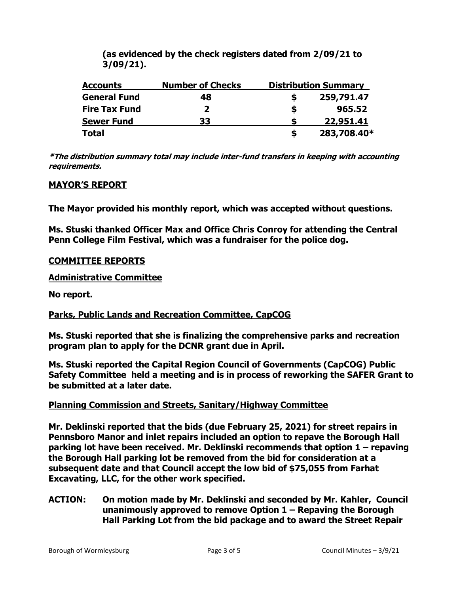**(as evidenced by the check registers dated from 2/09/21 to 3/09/21).**

| <b>Accounts</b>      | <b>Number of Checks</b> | <b>Distribution Summary</b> |             |
|----------------------|-------------------------|-----------------------------|-------------|
| <b>General Fund</b>  | 48                      |                             | 259,791.47  |
| <b>Fire Tax Fund</b> | 2                       | S                           | 965.52      |
| <b>Sewer Fund</b>    | 33                      |                             | 22,951.41   |
| <b>Total</b>         |                         |                             | 283,708.40* |

**\*The distribution summary total may include inter-fund transfers in keeping with accounting requirements.**

# **MAYOR'S REPORT**

**The Mayor provided his monthly report, which was accepted without questions.** 

**Ms. Stuski thanked Officer Max and Office Chris Conroy for attending the Central Penn College Film Festival, which was a fundraiser for the police dog.** 

### **COMMITTEE REPORTS**

**Administrative Committee** 

**No report.**

# **Parks, Public Lands and Recreation Committee, CapCOG**

**Ms. Stuski reported that she is finalizing the comprehensive parks and recreation program plan to apply for the DCNR grant due in April.**

**Ms. Stuski reported the Capital Region Council of Governments (CapCOG) Public Safety Committee held a meeting and is in process of reworking the SAFER Grant to be submitted at a later date.**

# **Planning Commission and Streets, Sanitary/Highway Committee**

**Mr. Deklinski reported that the bids (due February 25, 2021) for street repairs in Pennsboro Manor and inlet repairs included an option to repave the Borough Hall parking lot have been received. Mr. Deklinski recommends that option 1 – repaving the Borough Hall parking lot be removed from the bid for consideration at a subsequent date and that Council accept the low bid of \$75,055 from Farhat Excavating, LLC, for the other work specified.**

### **ACTION: On motion made by Mr. Deklinski and seconded by Mr. Kahler, Council unanimously approved to remove Option 1 – Repaving the Borough Hall Parking Lot from the bid package and to award the Street Repair**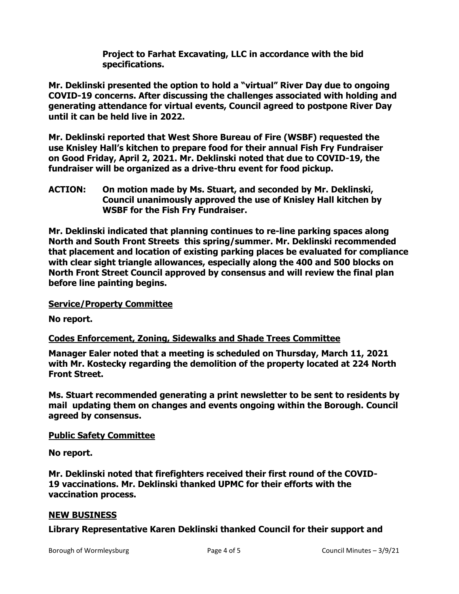**Project to Farhat Excavating, LLC in accordance with the bid specifications.**

**Mr. Deklinski presented the option to hold a "virtual" River Day due to ongoing COVID-19 concerns. After discussing the challenges associated with holding and generating attendance for virtual events, Council agreed to postpone River Day until it can be held live in 2022.**

**Mr. Deklinski reported that West Shore Bureau of Fire (WSBF) requested the use Knisley Hall's kitchen to prepare food for their annual Fish Fry Fundraiser on Good Friday, April 2, 2021. Mr. Deklinski noted that due to COVID-19, the fundraiser will be organized as a drive-thru event for food pickup.** 

**ACTION: On motion made by Ms. Stuart, and seconded by Mr. Deklinski, Council unanimously approved the use of Knisley Hall kitchen by WSBF for the Fish Fry Fundraiser.** 

**Mr. Deklinski indicated that planning continues to re-line parking spaces along North and South Front Streets this spring/summer. Mr. Deklinski recommended that placement and location of existing parking places be evaluated for compliance with clear sight triangle allowances, especially along the 400 and 500 blocks on North Front Street Council approved by consensus and will review the final plan before line painting begins.**

# **Service/Property Committee**

**No report.**

# **Codes Enforcement, Zoning, Sidewalks and Shade Trees Committee**

**Manager Ealer noted that a meeting is scheduled on Thursday, March 11, 2021 with Mr. Kostecky regarding the demolition of the property located at 224 North Front Street.**

**Ms. Stuart recommended generating a print newsletter to be sent to residents by mail updating them on changes and events ongoing within the Borough. Council agreed by consensus.** 

# **Public Safety Committee**

**No report.**

**Mr. Deklinski noted that firefighters received their first round of the COVID-19 vaccinations. Mr. Deklinski thanked UPMC for their efforts with the vaccination process.** 

# **NEW BUSINESS**

# **Library Representative Karen Deklinski thanked Council for their support and**

Borough of Wormleysburg The Council Minutes – 3/9/21